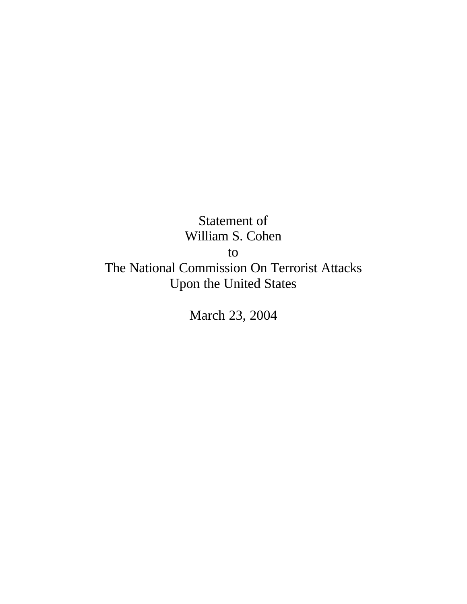Statement of William S. Cohen to The National Commission On Terrorist Attacks Upon the United States

March 23, 2004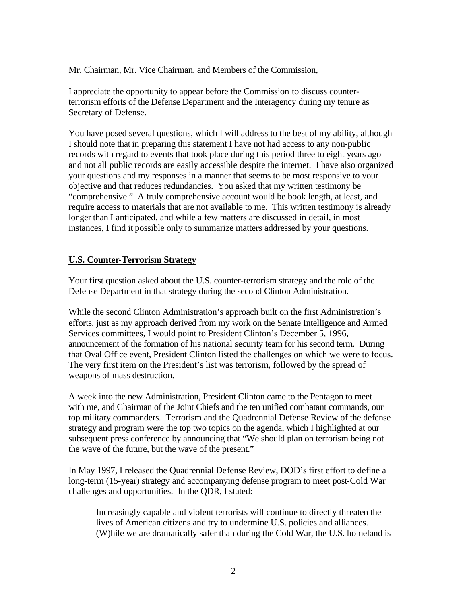Mr. Chairman, Mr. Vice Chairman, and Members of the Commission,

I appreciate the opportunity to appear before the Commission to discuss counterterrorism efforts of the Defense Department and the Interagency during my tenure as Secretary of Defense.

You have posed several questions, which I will address to the best of my ability, although I should note that in preparing this statement I have not had access to any non-public records with regard to events that took place during this period three to eight years ago and not all public records are easily accessible despite the internet. I have also organized your questions and my responses in a manner that seems to be most responsive to your objective and that reduces redundancies. You asked that my written testimony be "comprehensive." A truly comprehensive account would be book length, at least, and require access to materials that are not available to me. This written testimony is already longer than I anticipated, and while a few matters are discussed in detail, in most instances, I find it possible only to summarize matters addressed by your questions.

## **U.S. Counter-Terrorism Strategy**

Your first question asked about the U.S. counter-terrorism strategy and the role of the Defense Department in that strategy during the second Clinton Administration.

While the second Clinton Administration's approach built on the first Administration's efforts, just as my approach derived from my work on the Senate Intelligence and Armed Services committees, I would point to President Clinton's December 5, 1996, announcement of the formation of his national security team for his second term. During that Oval Office event, President Clinton listed the challenges on which we were to focus. The very first item on the President's list was terrorism, followed by the spread of weapons of mass destruction.

A week into the new Administration, President Clinton came to the Pentagon to meet with me, and Chairman of the Joint Chiefs and the ten unified combatant commands, our top military commanders. Terrorism and the Quadrennial Defense Review of the defense strategy and program were the top two topics on the agenda, which I highlighted at our subsequent press conference by announcing that "We should plan on terrorism being not the wave of the future, but the wave of the present."

In May 1997, I released the Quadrennial Defense Review, DOD's first effort to define a long-term (15-year) strategy and accompanying defense program to meet post-Cold War challenges and opportunities. In the QDR, I stated:

Increasingly capable and violent terrorists will continue to directly threaten the lives of American citizens and try to undermine U.S. policies and alliances. (W)hile we are dramatically safer than during the Cold War, the U.S. homeland is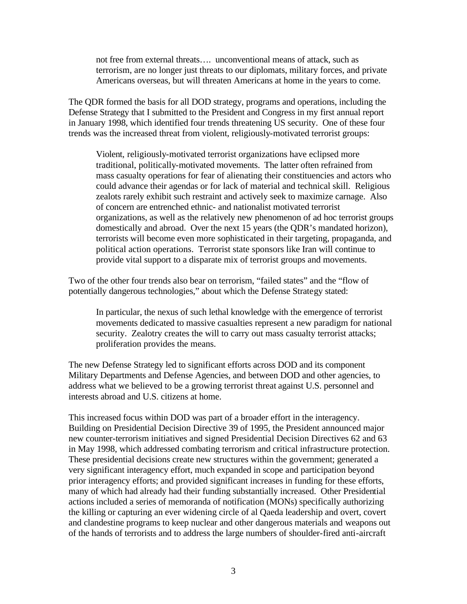not free from external threats…. unconventional means of attack, such as terrorism, are no longer just threats to our diplomats, military forces, and private Americans overseas, but will threaten Americans at home in the years to come.

The QDR formed the basis for all DOD strategy, programs and operations, including the Defense Strategy that I submitted to the President and Congress in my first annual report in January 1998, which identified four trends threatening US security. One of these four trends was the increased threat from violent, religiously-motivated terrorist groups:

Violent, religiously-motivated terrorist organizations have eclipsed more traditional, politically-motivated movements. The latter often refrained from mass casualty operations for fear of alienating their constituencies and actors who could advance their agendas or for lack of material and technical skill. Religious zealots rarely exhibit such restraint and actively seek to maximize carnage. Also of concern are entrenched ethnic- and nationalist motivated terrorist organizations, as well as the relatively new phenomenon of ad hoc terrorist groups domestically and abroad. Over the next 15 years (the QDR's mandated horizon), terrorists will become even more sophisticated in their targeting, propaganda, and political action operations. Terrorist state sponsors like Iran will continue to provide vital support to a disparate mix of terrorist groups and movements.

Two of the other four trends also bear on terrorism, "failed states" and the "flow of potentially dangerous technologies," about which the Defense Strategy stated:

In particular, the nexus of such lethal knowledge with the emergence of terrorist movements dedicated to massive casualties represent a new paradigm for national security. Zealotry creates the will to carry out mass casualty terrorist attacks; proliferation provides the means.

The new Defense Strategy led to significant efforts across DOD and its component Military Departments and Defense Agencies, and between DOD and other agencies, to address what we believed to be a growing terrorist threat against U.S. personnel and interests abroad and U.S. citizens at home.

This increased focus within DOD was part of a broader effort in the interagency. Building on Presidential Decision Directive 39 of 1995, the President announced major new counter-terrorism initiatives and signed Presidential Decision Directives 62 and 63 in May 1998, which addressed combating terrorism and critical infrastructure protection. These presidential decisions create new structures within the government; generated a very significant interagency effort, much expanded in scope and participation beyond prior interagency efforts; and provided significant increases in funding for these efforts, many of which had already had their funding substantially increased. Other Presidential actions included a series of memoranda of notification (MONs) specifically authorizing the killing or capturing an ever widening circle of al Qaeda leadership and overt, covert and clandestine programs to keep nuclear and other dangerous materials and weapons out of the hands of terrorists and to address the large numbers of shoulder-fired anti-aircraft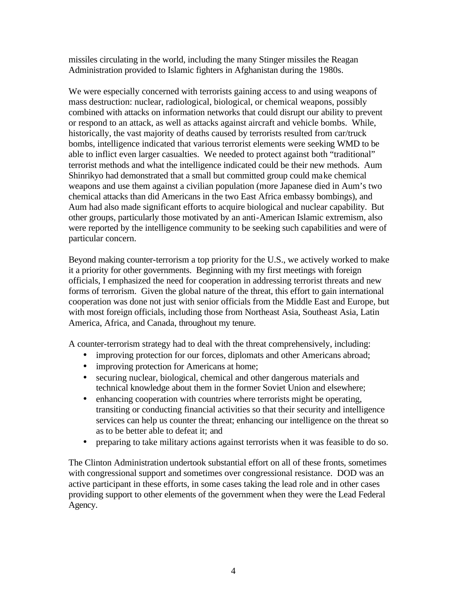missiles circulating in the world, including the many Stinger missiles the Reagan Administration provided to Islamic fighters in Afghanistan during the 1980s.

We were especially concerned with terrorists gaining access to and using weapons of mass destruction: nuclear, radiological, biological, or chemical weapons, possibly combined with attacks on information networks that could disrupt our ability to prevent or respond to an attack, as well as attacks against aircraft and vehicle bombs. While, historically, the vast majority of deaths caused by terrorists resulted from car/truck bombs, intelligence indicated that various terrorist elements were seeking WMD to be able to inflict even larger casualties. We needed to protect against both "traditional" terrorist methods and what the intelligence indicated could be their new methods. Aum Shinrikyo had demonstrated that a small but committed group could make chemical weapons and use them against a civilian population (more Japanese died in Aum's two chemical attacks than did Americans in the two East Africa embassy bombings), and Aum had also made significant efforts to acquire biological and nuclear capability. But other groups, particularly those motivated by an anti-American Islamic extremism, also were reported by the intelligence community to be seeking such capabilities and were of particular concern.

Beyond making counter-terrorism a top priority for the U.S., we actively worked to make it a priority for other governments. Beginning with my first meetings with foreign officials, I emphasized the need for cooperation in addressing terrorist threats and new forms of terrorism. Given the global nature of the threat, this effort to gain international cooperation was done not just with senior officials from the Middle East and Europe, but with most foreign officials, including those from Northeast Asia, Southeast Asia, Latin America, Africa, and Canada, throughout my tenure.

A counter-terrorism strategy had to deal with the threat comprehensively, including:

- improving protection for our forces, diplomats and other Americans abroad;
- improving protection for Americans at home;
- securing nuclear, biological, chemical and other dangerous materials and technical knowledge about them in the former Soviet Union and elsewhere;
- enhancing cooperation with countries where terrorists might be operating, transiting or conducting financial activities so that their security and intelligence services can help us counter the threat; enhancing our intelligence on the threat so as to be better able to defeat it; and
- preparing to take military actions against terrorists when it was feasible to do so.

The Clinton Administration undertook substantial effort on all of these fronts, sometimes with congressional support and sometimes over congressional resistance. DOD was an active participant in these efforts, in some cases taking the lead role and in other cases providing support to other elements of the government when they were the Lead Federal Agency.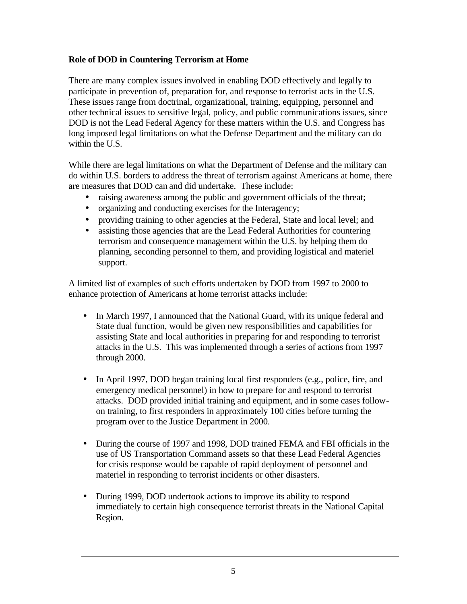# **Role of DOD in Countering Terrorism at Home**

There are many complex issues involved in enabling DOD effectively and legally to participate in prevention of, preparation for, and response to terrorist acts in the U.S. These issues range from doctrinal, organizational, training, equipping, personnel and other technical issues to sensitive legal, policy, and public communications issues, since DOD is not the Lead Federal Agency for these matters within the U.S. and Congress has long imposed legal limitations on what the Defense Department and the military can do within the U.S.

While there are legal limitations on what the Department of Defense and the military can do within U.S. borders to address the threat of terrorism against Americans at home, there are measures that DOD can and did undertake. These include:

- raising awareness among the public and government officials of the threat;
- organizing and conducting exercises for the Interagency;
- providing training to other agencies at the Federal, State and local level; and
- assisting those agencies that are the Lead Federal Authorities for countering terrorism and consequence management within the U.S. by helping them do planning, seconding personnel to them, and providing logistical and materiel support.

A limited list of examples of such efforts undertaken by DOD from 1997 to 2000 to enhance protection of Americans at home terrorist attacks include:

- In March 1997, I announced that the National Guard, with its unique federal and State dual function, would be given new responsibilities and capabilities for assisting State and local authorities in preparing for and responding to terrorist attacks in the U.S. This was implemented through a series of actions from 1997 through 2000.
- In April 1997, DOD began training local first responders (e.g., police, fire, and emergency medical personnel) in how to prepare for and respond to terrorist attacks. DOD provided initial training and equipment, and in some cases followon training, to first responders in approximately 100 cities before turning the program over to the Justice Department in 2000.
- During the course of 1997 and 1998, DOD trained FEMA and FBI officials in the use of US Transportation Command assets so that these Lead Federal Agencies for crisis response would be capable of rapid deployment of personnel and materiel in responding to terrorist incidents or other disasters.
- During 1999, DOD undertook actions to improve its ability to respond immediately to certain high consequence terrorist threats in the National Capital Region.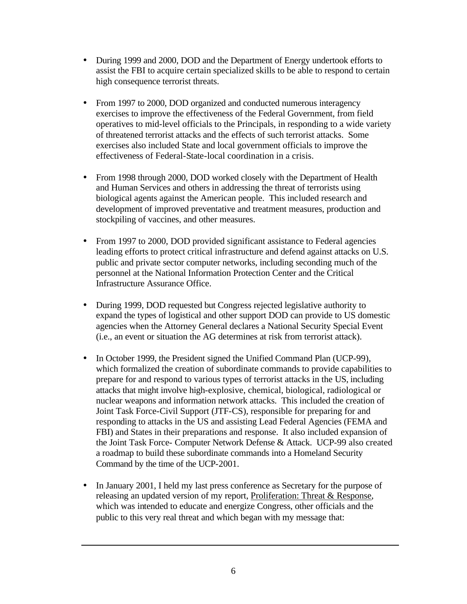- During 1999 and 2000, DOD and the Department of Energy undertook efforts to assist the FBI to acquire certain specialized skills to be able to respond to certain high consequence terrorist threats.
- From 1997 to 2000, DOD organized and conducted numerous interagency exercises to improve the effectiveness of the Federal Government, from field operatives to mid-level officials to the Principals, in responding to a wide variety of threatened terrorist attacks and the effects of such terrorist attacks. Some exercises also included State and local government officials to improve the effectiveness of Federal-State-local coordination in a crisis.
- From 1998 through 2000, DOD worked closely with the Department of Health and Human Services and others in addressing the threat of terrorists using biological agents against the American people. This included research and development of improved preventative and treatment measures, production and stockpiling of vaccines, and other measures.
- From 1997 to 2000, DOD provided significant assistance to Federal agencies leading efforts to protect critical infrastructure and defend against attacks on U.S. public and private sector computer networks, including seconding much of the personnel at the National Information Protection Center and the Critical Infrastructure Assurance Office.
- During 1999, DOD requested but Congress rejected legislative authority to expand the types of logistical and other support DOD can provide to US domestic agencies when the Attorney General declares a National Security Special Event (i.e., an event or situation the AG determines at risk from terrorist attack).
- In October 1999, the President signed the Unified Command Plan (UCP-99), which formalized the creation of subordinate commands to provide capabilities to prepare for and respond to various types of terrorist attacks in the US, including attacks that might involve high-explosive, chemical, biological, radiological or nuclear weapons and information network attacks. This included the creation of Joint Task Force-Civil Support (JTF-CS), responsible for preparing for and responding to attacks in the US and assisting Lead Federal Agencies (FEMA and FBI) and States in their preparations and response. It also included expansion of the Joint Task Force- Computer Network Defense & Attack. UCP-99 also created a roadmap to build these subordinate commands into a Homeland Security Command by the time of the UCP-2001.
- In January 2001, I held my last press conference as Secretary for the purpose of releasing an updated version of my report, Proliferation: Threat & Response, which was intended to educate and energize Congress, other officials and the public to this very real threat and which began with my message that: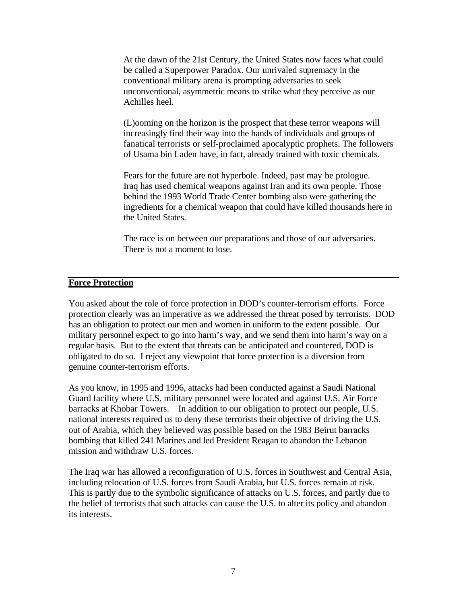At the dawn of the 21st Century, the United States now faces what could be called a Superpower Paradox. Our unrivaled supremacy in the conventional military arena is prompting adversaries to seek unconventional, asymmetric means to strike what they perceive as our Achilles heel.

(L)ooming on the horizon is the prospect that these terror weapons will increasingly find their way into the hands of individuals and groups of fanatical terrorists or self-proclaimed apocalyptic prophets. The followers of Usama bin Laden have, in fact, already trained with toxic chemicals.

Fears for the future are not hyperbole. Indeed, past may be prologue. Iraq has used chemical weapons against Iran and its own people. Those behind the 1993 World Trade Center bombing also were gathering the ingredients for a chemical weapon that could have killed thousands here in the United States.

The race is on between our preparations and those of our adversaries. There is not a moment to lose.

#### **Force Protection**

You asked about the role of force protection in DOD's counter-terrorism efforts. Force protection clearly was an imperative as we addressed the threat posed by terrorists. DOD has an obligation to protect our men and women in uniform to the extent possible. Our military personnel expect to go into harm's way, and we send them into harm's way on a regular basis. But to the extent that threats can be anticipated and countered, DOD is obligated to do so. I reject any viewpoint that force protection is a diversion from genuine counter-terrorism efforts.

As you know, in 1995 and 1996, attacks had been conducted against a Saudi National Guard facility where U.S. military personnel were located and against U.S. Air Force barracks at Khobar Towers. In addition to our obligation to protect our people, U.S. national interests required us to deny these terrorists their objective of driving the U.S. out of Arabia, which they believed was possible based on the 1983 Beirut barracks bombing that killed 241 Marines and led President Reagan to abandon the Lebanon mission and withdraw U.S. forces.

The Iraq war has allowed a reconfiguration of U.S. forces in Southwest and Central Asia, including relocation of U.S. forces from Saudi Arabia, but U.S. forces remain at risk. This is partly due to the symbolic significance of attacks on U.S. forces, and partly due to the belief of terrorists that such attacks can cause the U.S. to alter its policy and abandon its interests.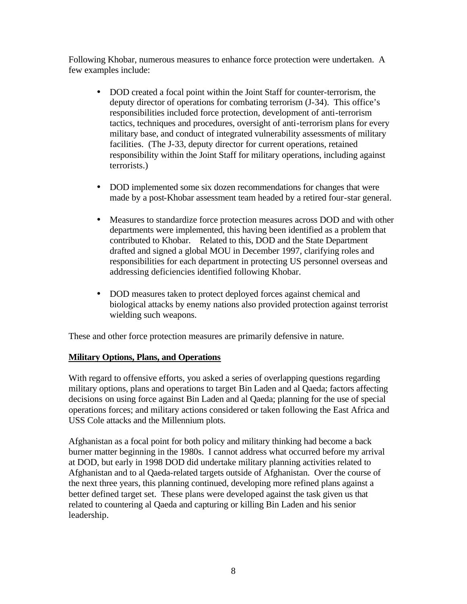Following Khobar, numerous measures to enhance force protection were undertaken. A few examples include:

- DOD created a focal point within the Joint Staff for counter-terrorism, the deputy director of operations for combating terrorism (J-34). This office's responsibilities included force protection, development of anti-terrorism tactics, techniques and procedures, oversight of anti-terrorism plans for every military base, and conduct of integrated vulnerability assessments of military facilities. (The J-33, deputy director for current operations, retained responsibility within the Joint Staff for military operations, including against terrorists.)
- DOD implemented some six dozen recommendations for changes that were made by a post-Khobar assessment team headed by a retired four-star general.
- Measures to standardize force protection measures across DOD and with other departments were implemented, this having been identified as a problem that contributed to Khobar. Related to this, DOD and the State Department drafted and signed a global MOU in December 1997, clarifying roles and responsibilities for each department in protecting US personnel overseas and addressing deficiencies identified following Khobar.
- DOD measures taken to protect deployed forces against chemical and biological attacks by enemy nations also provided protection against terrorist wielding such weapons.

These and other force protection measures are primarily defensive in nature.

## **Military Options, Plans, and Operations**

With regard to offensive efforts, you asked a series of overlapping questions regarding military options, plans and operations to target Bin Laden and al Qaeda; factors affecting decisions on using force against Bin Laden and al Qaeda; planning for the use of special operations forces; and military actions considered or taken following the East Africa and USS Cole attacks and the Millennium plots.

Afghanistan as a focal point for both policy and military thinking had become a back burner matter beginning in the 1980s. I cannot address what occurred before my arrival at DOD, but early in 1998 DOD did undertake military planning activities related to Afghanistan and to al Qaeda-related targets outside of Afghanistan. Over the course of the next three years, this planning continued, developing more refined plans against a better defined target set. These plans were developed against the task given us that related to countering al Qaeda and capturing or killing Bin Laden and his senior leadership.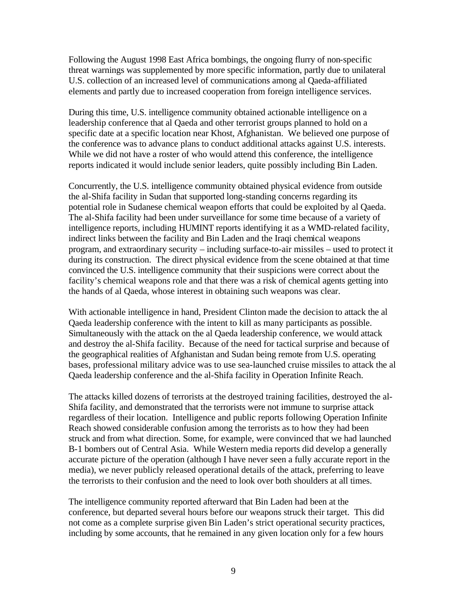Following the August 1998 East Africa bombings, the ongoing flurry of non-specific threat warnings was supplemented by more specific information, partly due to unilateral U.S. collection of an increased level of communications among al Qaeda-affiliated elements and partly due to increased cooperation from foreign intelligence services.

During this time, U.S. intelligence community obtained actionable intelligence on a leadership conference that al Qaeda and other terrorist groups planned to hold on a specific date at a specific location near Khost, Afghanistan. We believed one purpose of the conference was to advance plans to conduct additional attacks against U.S. interests. While we did not have a roster of who would attend this conference, the intelligence reports indicated it would include senior leaders, quite possibly including Bin Laden.

Concurrently, the U.S. intelligence community obtained physical evidence from outside the al-Shifa facility in Sudan that supported long-standing concerns regarding its potential role in Sudanese chemical weapon efforts that could be exploited by al Qaeda. The al-Shifa facility had been under surveillance for some time because of a variety of intelligence reports, including HUMINT reports identifying it as a WMD-related facility, indirect links between the facility and Bin Laden and the Iraqi chemical weapons program, and extraordinary security – including surface-to-air missiles – used to protect it during its construction. The direct physical evidence from the scene obtained at that time convinced the U.S. intelligence community that their suspicions were correct about the facility's chemical weapons role and that there was a risk of chemical agents getting into the hands of al Qaeda, whose interest in obtaining such weapons was clear.

With actionable intelligence in hand, President Clinton made the decision to attack the al Qaeda leadership conference with the intent to kill as many participants as possible. Simultaneously with the attack on the al Qaeda leadership conference, we would attack and destroy the al-Shifa facility. Because of the need for tactical surprise and because of the geographical realities of Afghanistan and Sudan being remote from U.S. operating bases, professional military advice was to use sea-launched cruise missiles to attack the al Qaeda leadership conference and the al-Shifa facility in Operation Infinite Reach.

The attacks killed dozens of terrorists at the destroyed training facilities, destroyed the al-Shifa facility, and demonstrated that the terrorists were not immune to surprise attack regardless of their location. Intelligence and public reports following Operation Infinite Reach showed considerable confusion among the terrorists as to how they had been struck and from what direction. Some, for example, were convinced that we had launched B-1 bombers out of Central Asia. While Western media reports did develop a generally accurate picture of the operation (although I have never seen a fully accurate report in the media), we never publicly released operational details of the attack, preferring to leave the terrorists to their confusion and the need to look over both shoulders at all times.

The intelligence community reported afterward that Bin Laden had been at the conference, but departed several hours before our weapons struck their target. This did not come as a complete surprise given Bin Laden's strict operational security practices, including by some accounts, that he remained in any given location only for a few hours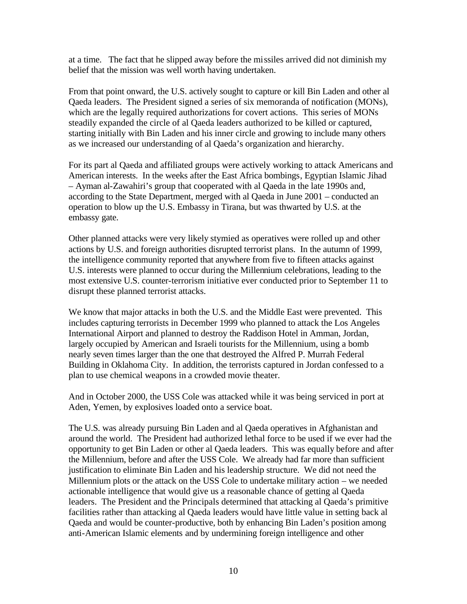at a time. The fact that he slipped away before the missiles arrived did not diminish my belief that the mission was well worth having undertaken.

From that point onward, the U.S. actively sought to capture or kill Bin Laden and other al Qaeda leaders. The President signed a series of six memoranda of notification (MONs), which are the legally required authorizations for covert actions. This series of MONs steadily expanded the circle of al Qaeda leaders authorized to be killed or captured, starting initially with Bin Laden and his inner circle and growing to include many others as we increased our understanding of al Qaeda's organization and hierarchy.

For its part al Qaeda and affiliated groups were actively working to attack Americans and American interests. In the weeks after the East Africa bombings, Egyptian Islamic Jihad – Ayman al-Zawahiri's group that cooperated with al Qaeda in the late 1990s and, according to the State Department, merged with al Qaeda in June 2001 – conducted an operation to blow up the U.S. Embassy in Tirana, but was thwarted by U.S. at the embassy gate.

Other planned attacks were very likely stymied as operatives were rolled up and other actions by U.S. and foreign authorities disrupted terrorist plans. In the autumn of 1999, the intelligence community reported that anywhere from five to fifteen attacks against U.S. interests were planned to occur during the Millennium celebrations, leading to the most extensive U.S. counter-terrorism initiative ever conducted prior to September 11 to disrupt these planned terrorist attacks.

We know that major attacks in both the U.S. and the Middle East were prevented. This includes capturing terrorists in December 1999 who planned to attack the Los Angeles International Airport and planned to destroy the Raddison Hotel in Amman, Jordan, largely occupied by American and Israeli tourists for the Millennium, using a bomb nearly seven times larger than the one that destroyed the Alfred P. Murrah Federal Building in Oklahoma City. In addition, the terrorists captured in Jordan confessed to a plan to use chemical weapons in a crowded movie theater.

And in October 2000, the USS Cole was attacked while it was being serviced in port at Aden, Yemen, by explosives loaded onto a service boat.

The U.S. was already pursuing Bin Laden and al Qaeda operatives in Afghanistan and around the world. The President had authorized lethal force to be used if we ever had the opportunity to get Bin Laden or other al Qaeda leaders. This was equally before and after the Millennium, before and after the USS Cole. We already had far more than sufficient justification to eliminate Bin Laden and his leadership structure. We did not need the Millennium plots or the attack on the USS Cole to undertake military action – we needed actionable intelligence that would give us a reasonable chance of getting al Qaeda leaders. The President and the Principals determined that attacking al Qaeda's primitive facilities rather than attacking al Qaeda leaders would have little value in setting back al Qaeda and would be counter-productive, both by enhancing Bin Laden's position among anti-American Islamic elements and by undermining foreign intelligence and other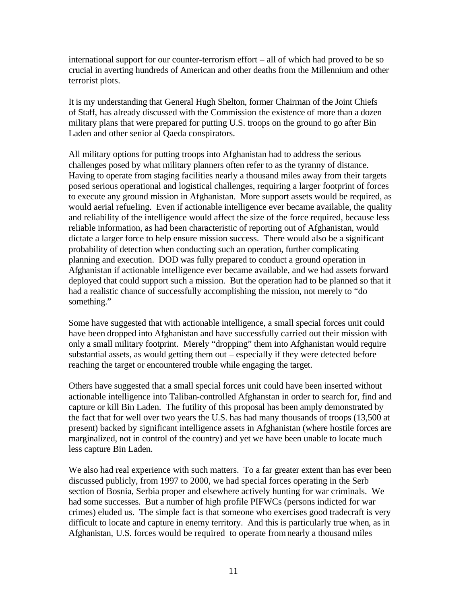international support for our counter-terrorism effort – all of which had proved to be so crucial in averting hundreds of American and other deaths from the Millennium and other terrorist plots.

It is my understanding that General Hugh Shelton, former Chairman of the Joint Chiefs of Staff, has already discussed with the Commission the existence of more than a dozen military plans that were prepared for putting U.S. troops on the ground to go after Bin Laden and other senior al Qaeda conspirators.

All military options for putting troops into Afghanistan had to address the serious challenges posed by what military planners often refer to as the tyranny of distance. Having to operate from staging facilities nearly a thousand miles away from their targets posed serious operational and logistical challenges, requiring a larger footprint of forces to execute any ground mission in Afghanistan. More support assets would be required, as would aerial refueling. Even if actionable intelligence ever became available, the quality and reliability of the intelligence would affect the size of the force required, because less reliable information, as had been characteristic of reporting out of Afghanistan, would dictate a larger force to help ensure mission success. There would also be a significant probability of detection when conducting such an operation, further complicating planning and execution. DOD was fully prepared to conduct a ground operation in Afghanistan if actionable intelligence ever became available, and we had assets forward deployed that could support such a mission. But the operation had to be planned so that it had a realistic chance of successfully accomplishing the mission, not merely to "do something."

Some have suggested that with actionable intelligence, a small special forces unit could have been dropped into Afghanistan and have successfully carried out their mission with only a small military footprint. Merely "dropping" them into Afghanistan would require substantial assets, as would getting them out – especially if they were detected before reaching the target or encountered trouble while engaging the target.

Others have suggested that a small special forces unit could have been inserted without actionable intelligence into Taliban-controlled Afghanstan in order to search for, find and capture or kill Bin Laden. The futility of this proposal has been amply demonstrated by the fact that for well over two years the U.S. has had many thousands of troops (13,500 at present) backed by significant intelligence assets in Afghanistan (where hostile forces are marginalized, not in control of the country) and yet we have been unable to locate much less capture Bin Laden.

We also had real experience with such matters. To a far greater extent than has ever been discussed publicly, from 1997 to 2000, we had special forces operating in the Serb section of Bosnia, Serbia proper and elsewhere actively hunting for war criminals. We had some successes. But a number of high profile PIFWCs (persons indicted for war crimes) eluded us. The simple fact is that someone who exercises good tradecraft is very difficult to locate and capture in enemy territory. And this is particularly true when, as in Afghanistan, U.S. forces would be required to operate from nearly a thousand miles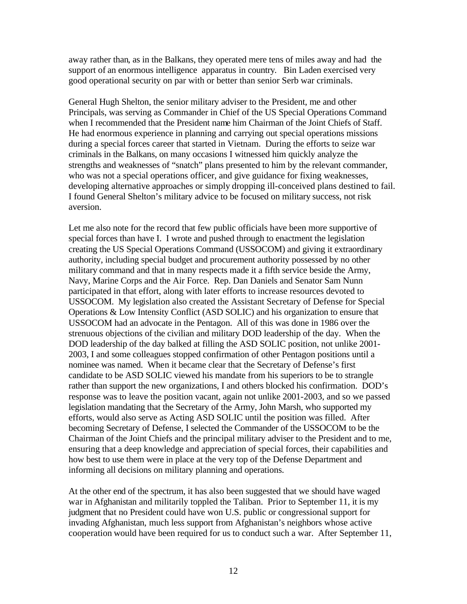away rather than, as in the Balkans, they operated mere tens of miles away and had the support of an enormous intelligence apparatus in country. Bin Laden exercised very good operational security on par with or better than senior Serb war criminals.

General Hugh Shelton, the senior military adviser to the President, me and other Principals, was serving as Commander in Chief of the US Special Operations Command when I recommended that the President name him Chairman of the Joint Chiefs of Staff. He had enormous experience in planning and carrying out special operations missions during a special forces career that started in Vietnam. During the efforts to seize war criminals in the Balkans, on many occasions I witnessed him quickly analyze the strengths and weaknesses of "snatch" plans presented to him by the relevant commander, who was not a special operations officer, and give guidance for fixing weaknesses, developing alternative approaches or simply dropping ill-conceived plans destined to fail. I found General Shelton's military advice to be focused on military success, not risk aversion.

Let me also note for the record that few public officials have been more supportive of special forces than have I. I wrote and pushed through to enactment the legislation creating the US Special Operations Command (USSOCOM) and giving it extraordinary authority, including special budget and procurement authority possessed by no other military command and that in many respects made it a fifth service beside the Army, Navy, Marine Corps and the Air Force. Rep. Dan Daniels and Senator Sam Nunn participated in that effort, along with later efforts to increase resources devoted to USSOCOM. My legislation also created the Assistant Secretary of Defense for Special Operations & Low Intensity Conflict (ASD SOLIC) and his organization to ensure that USSOCOM had an advocate in the Pentagon. All of this was done in 1986 over the strenuous objections of the civilian and military DOD leadership of the day. When the DOD leadership of the day balked at filling the ASD SOLIC position, not unlike 2001- 2003, I and some colleagues stopped confirmation of other Pentagon positions until a nominee was named. When it became clear that the Secretary of Defense's first candidate to be ASD SOLIC viewed his mandate from his superiors to be to strangle rather than support the new organizations, I and others blocked his confirmation. DOD's response was to leave the position vacant, again not unlike 2001-2003, and so we passed legislation mandating that the Secretary of the Army, John Marsh, who supported my efforts, would also serve as Acting ASD SOLIC until the position was filled. After becoming Secretary of Defense, I selected the Commander of the USSOCOM to be the Chairman of the Joint Chiefs and the principal military adviser to the President and to me, ensuring that a deep knowledge and appreciation of special forces, their capabilities and how best to use them were in place at the very top of the Defense Department and informing all decisions on military planning and operations.

At the other end of the spectrum, it has also been suggested that we should have waged war in Afghanistan and militarily toppled the Taliban. Prior to September 11, it is my judgment that no President could have won U.S. public or congressional support for invading Afghanistan, much less support from Afghanistan's neighbors whose active cooperation would have been required for us to conduct such a war. After September 11,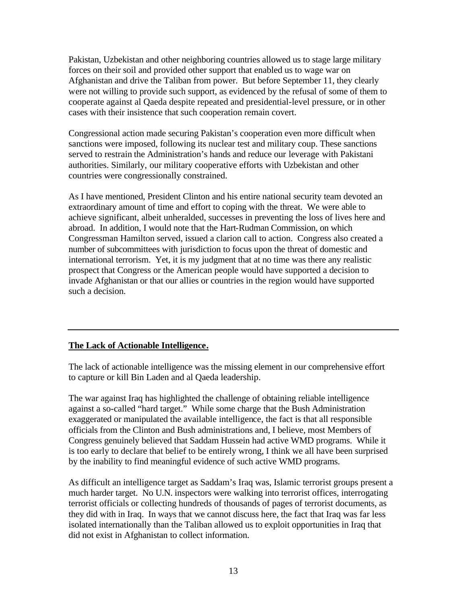Pakistan, Uzbekistan and other neighboring countries allowed us to stage large military forces on their soil and provided other support that enabled us to wage war on Afghanistan and drive the Taliban from power. But before September 11, they clearly were not willing to provide such support, as evidenced by the refusal of some of them to cooperate against al Qaeda despite repeated and presidential-level pressure, or in other cases with their insistence that such cooperation remain covert.

Congressional action made securing Pakistan's cooperation even more difficult when sanctions were imposed, following its nuclear test and military coup. These sanctions served to restrain the Administration's hands and reduce our leverage with Pakistani authorities. Similarly, our military cooperative efforts with Uzbekistan and other countries were congressionally constrained.

As I have mentioned, President Clinton and his entire national security team devoted an extraordinary amount of time and effort to coping with the threat. We were able to achieve significant, albeit unheralded, successes in preventing the loss of lives here and abroad. In addition, I would note that the Hart-Rudman Commission, on which Congressman Hamilton served, issued a clarion call to action. Congress also created a number of subcommittees with jurisdiction to focus upon the threat of domestic and international terrorism. Yet, it is my judgment that at no time was there any realistic prospect that Congress or the American people would have supported a decision to invade Afghanistan or that our allies or countries in the region would have supported such a decision.

## **The Lack of Actionable Intelligence.**

The lack of actionable intelligence was the missing element in our comprehensive effort to capture or kill Bin Laden and al Qaeda leadership.

The war against Iraq has highlighted the challenge of obtaining reliable intelligence against a so-called "hard target." While some charge that the Bush Administration exaggerated or manipulated the available intelligence, the fact is that all responsible officials from the Clinton and Bush administrations and, I believe, most Members of Congress genuinely believed that Saddam Hussein had active WMD programs. While it is too early to declare that belief to be entirely wrong, I think we all have been surprised by the inability to find meaningful evidence of such active WMD programs.

As difficult an intelligence target as Saddam's Iraq was, Islamic terrorist groups present a much harder target. No U.N. inspectors were walking into terrorist offices, interrogating terrorist officials or collecting hundreds of thousands of pages of terrorist documents, as they did with in Iraq. In ways that we cannot discuss here, the fact that Iraq was far less isolated internationally than the Taliban allowed us to exploit opportunities in Iraq that did not exist in Afghanistan to collect information.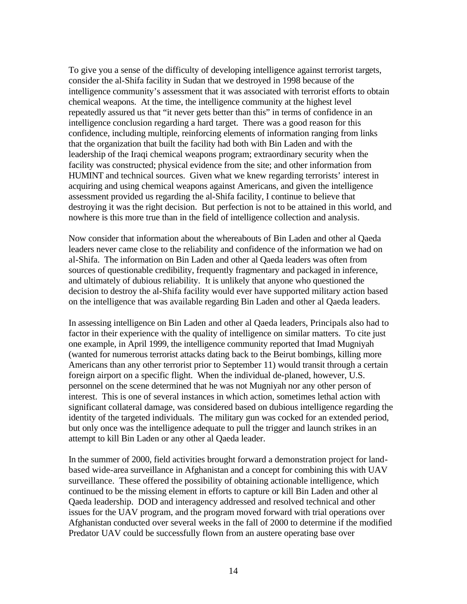To give you a sense of the difficulty of developing intelligence against terrorist targets, consider the al-Shifa facility in Sudan that we destroyed in 1998 because of the intelligence community's assessment that it was associated with terrorist efforts to obtain chemical weapons. At the time, the intelligence community at the highest level repeatedly assured us that "it never gets better than this" in terms of confidence in an intelligence conclusion regarding a hard target. There was a good reason for this confidence, including multiple, reinforcing elements of information ranging from links that the organization that built the facility had both with Bin Laden and with the leadership of the Iraqi chemical weapons program; extraordinary security when the facility was constructed; physical evidence from the site; and other information from HUMINT and technical sources. Given what we knew regarding terrorists' interest in acquiring and using chemical weapons against Americans, and given the intelligence assessment provided us regarding the al-Shifa facility, I continue to believe that destroying it was the right decision. But perfection is not to be attained in this world, and nowhere is this more true than in the field of intelligence collection and analysis.

Now consider that information about the whereabouts of Bin Laden and other al Qaeda leaders never came close to the reliability and confidence of the information we had on al-Shifa. The information on Bin Laden and other al Qaeda leaders was often from sources of questionable credibility, frequently fragmentary and packaged in inference, and ultimately of dubious reliability. It is unlikely that anyone who questioned the decision to destroy the al-Shifa facility would ever have supported military action based on the intelligence that was available regarding Bin Laden and other al Qaeda leaders.

In assessing intelligence on Bin Laden and other al Qaeda leaders, Principals also had to factor in their experience with the quality of intelligence on similar matters. To cite just one example, in April 1999, the intelligence community reported that Imad Mugniyah (wanted for numerous terrorist attacks dating back to the Beirut bombings, killing more Americans than any other terrorist prior to September 11) would transit through a certain foreign airport on a specific flight. When the individual de-planed, however, U.S. personnel on the scene determined that he was not Mugniyah nor any other person of interest. This is one of several instances in which action, sometimes lethal action with significant collateral damage, was considered based on dubious intelligence regarding the identity of the targeted individuals. The military gun was cocked for an extended period, but only once was the intelligence adequate to pull the trigger and launch strikes in an attempt to kill Bin Laden or any other al Qaeda leader.

In the summer of 2000, field activities brought forward a demonstration project for landbased wide-area surveillance in Afghanistan and a concept for combining this with UAV surveillance. These offered the possibility of obtaining actionable intelligence, which continued to be the missing element in efforts to capture or kill Bin Laden and other al Qaeda leadership. DOD and interagency addressed and resolved technical and other issues for the UAV program, and the program moved forward with trial operations over Afghanistan conducted over several weeks in the fall of 2000 to determine if the modified Predator UAV could be successfully flown from an austere operating base over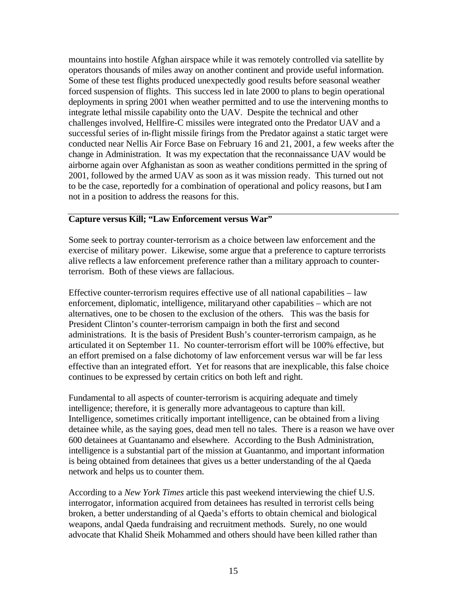mountains into hostile Afghan airspace while it was remotely controlled via satellite by operators thousands of miles away on another continent and provide useful information. Some of these test flights produced unexpectedly good results before seasonal weather forced suspension of flights. This success led in late 2000 to plans to begin operational deployments in spring 2001 when weather permitted and to use the intervening months to integrate lethal missile capability onto the UAV. Despite the technical and other challenges involved, Hellfire-C missiles were integrated onto the Predator UAV and a successful series of in-flight missile firings from the Predator against a static target were conducted near Nellis Air Force Base on February 16 and 21, 2001, a few weeks after the change in Administration. It was my expectation that the reconnaissance UAV would be airborne again over Afghanistan as soon as weather conditions permitted in the spring of 2001, followed by the armed UAV as soon as it was mission ready. This turned out not to be the case, reportedly for a combination of operational and policy reasons, but I am not in a position to address the reasons for this.

#### **Capture versus Kill; "Law Enforcement versus War"**

Some seek to portray counter-terrorism as a choice between law enforcement and the exercise of military power. Likewise, some argue that a preference to capture terrorists alive reflects a law enforcement preference rather than a military approach to counterterrorism. Both of these views are fallacious.

Effective counter-terrorism requires effective use of all national capabilities – law enforcement, diplomatic, intelligence, militaryand other capabilities – which are not alternatives, one to be chosen to the exclusion of the others. This was the basis for President Clinton's counter-terrorism campaign in both the first and second administrations. It is the basis of President Bush's counter-terrorism campaign, as he articulated it on September 11. No counter-terrorism effort will be 100% effective, but an effort premised on a false dichotomy of law enforcement versus war will be far less effective than an integrated effort. Yet for reasons that are inexplicable, this false choice continues to be expressed by certain critics on both left and right.

Fundamental to all aspects of counter-terrorism is acquiring adequate and timely intelligence; therefore, it is generally more advantageous to capture than kill. Intelligence, sometimes critically important intelligence, can be obtained from a living detainee while, as the saying goes, dead men tell no tales. There is a reason we have over 600 detainees at Guantanamo and elsewhere. According to the Bush Administration, intelligence is a substantial part of the mission at Guantanmo, and important information is being obtained from detainees that gives us a better understanding of the al Qaeda network and helps us to counter them.

According to a *New York Times* article this past weekend interviewing the chief U.S. interrogator, information acquired from detainees has resulted in terrorist cells being broken, a better understanding of al Qaeda's efforts to obtain chemical and biological weapons, andal Qaeda fundraising and recruitment methods. Surely, no one would advocate that Khalid Sheik Mohammed and others should have been killed rather than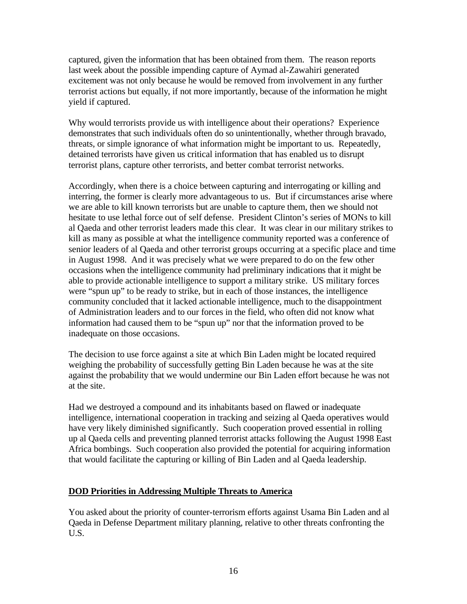captured, given the information that has been obtained from them. The reason reports last week about the possible impending capture of Aymad al-Zawahiri generated excitement was not only because he would be removed from involvement in any further terrorist actions but equally, if not more importantly, because of the information he might yield if captured.

Why would terrorists provide us with intelligence about their operations? Experience demonstrates that such individuals often do so unintentionally, whether through bravado, threats, or simple ignorance of what information might be important to us. Repeatedly, detained terrorists have given us critical information that has enabled us to disrupt terrorist plans, capture other terrorists, and better combat terrorist networks.

Accordingly, when there is a choice between capturing and interrogating or killing and interring, the former is clearly more advantageous to us. But if circumstances arise where we are able to kill known terrorists but are unable to capture them, then we should not hesitate to use lethal force out of self defense. President Clinton's series of MONs to kill al Qaeda and other terrorist leaders made this clear. It was clear in our military strikes to kill as many as possible at what the intelligence community reported was a conference of senior leaders of al Qaeda and other terrorist groups occurring at a specific place and time in August 1998. And it was precisely what we were prepared to do on the few other occasions when the intelligence community had preliminary indications that it might be able to provide actionable intelligence to support a military strike. US military forces were "spun up" to be ready to strike, but in each of those instances, the intelligence community concluded that it lacked actionable intelligence, much to the disappointment of Administration leaders and to our forces in the field, who often did not know what information had caused them to be "spun up" nor that the information proved to be inadequate on those occasions.

The decision to use force against a site at which Bin Laden might be located required weighing the probability of successfully getting Bin Laden because he was at the site against the probability that we would undermine our Bin Laden effort because he was not at the site.

Had we destroyed a compound and its inhabitants based on flawed or inadequate intelligence, international cooperation in tracking and seizing al Qaeda operatives would have very likely diminished significantly. Such cooperation proved essential in rolling up al Qaeda cells and preventing planned terrorist attacks following the August 1998 East Africa bombings. Such cooperation also provided the potential for acquiring information that would facilitate the capturing or killing of Bin Laden and al Qaeda leadership.

## **DOD Priorities in Addressing Multiple Threats to America**

You asked about the priority of counter-terrorism efforts against Usama Bin Laden and al Qaeda in Defense Department military planning, relative to other threats confronting the U.S.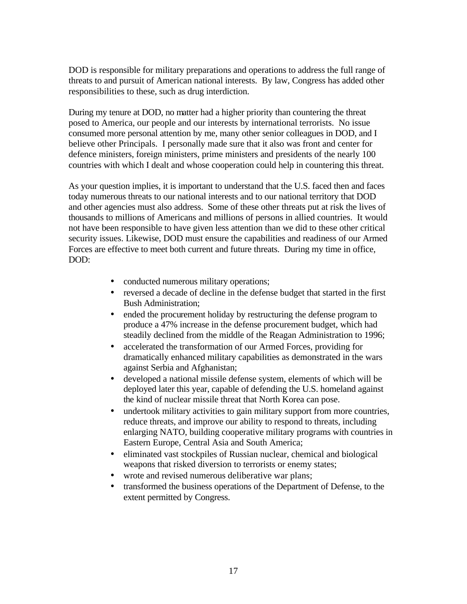DOD is responsible for military preparations and operations to address the full range of threats to and pursuit of American national interests. By law, Congress has added other responsibilities to these, such as drug interdiction.

During my tenure at DOD, no matter had a higher priority than countering the threat posed to America, our people and our interests by international terrorists. No issue consumed more personal attention by me, many other senior colleagues in DOD, and I believe other Principals. I personally made sure that it also was front and center for defence ministers, foreign ministers, prime ministers and presidents of the nearly 100 countries with which I dealt and whose cooperation could help in countering this threat.

As your question implies, it is important to understand that the U.S. faced then and faces today numerous threats to our national interests and to our national territory that DOD and other agencies must also address. Some of these other threats put at risk the lives of thousands to millions of Americans and millions of persons in allied countries. It would not have been responsible to have given less attention than we did to these other critical security issues. Likewise, DOD must ensure the capabilities and readiness of our Armed Forces are effective to meet both current and future threats. During my time in office, DOD:

- conducted numerous military operations;
- reversed a decade of decline in the defense budget that started in the first Bush Administration;
- ended the procurement holiday by restructuring the defense program to produce a 47% increase in the defense procurement budget, which had steadily declined from the middle of the Reagan Administration to 1996;
- accelerated the transformation of our Armed Forces, providing for dramatically enhanced military capabilities as demonstrated in the wars against Serbia and Afghanistan;
- developed a national missile defense system, elements of which will be deployed later this year, capable of defending the U.S. homeland against the kind of nuclear missile threat that North Korea can pose.
- undertook military activities to gain military support from more countries, reduce threats, and improve our ability to respond to threats, including enlarging NATO, building cooperative military programs with countries in Eastern Europe, Central Asia and South America;
- eliminated vast stockpiles of Russian nuclear, chemical and biological weapons that risked diversion to terrorists or enemy states;
- wrote and revised numerous deliberative war plans;
- transformed the business operations of the Department of Defense, to the extent permitted by Congress.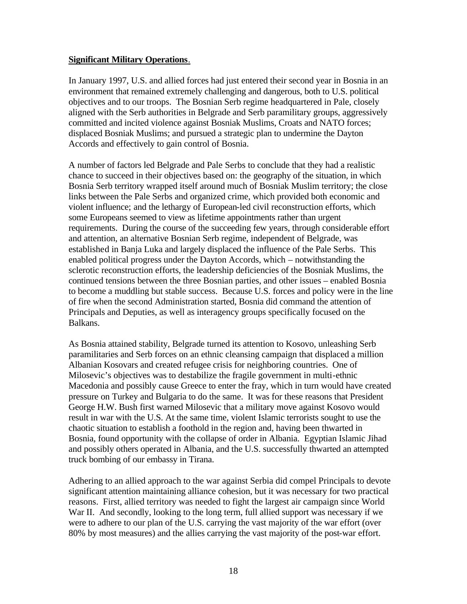#### **Significant Military Operations**.

In January 1997, U.S. and allied forces had just entered their second year in Bosnia in an environment that remained extremely challenging and dangerous, both to U.S. political objectives and to our troops. The Bosnian Serb regime headquartered in Pale, closely aligned with the Serb authorities in Belgrade and Serb paramilitary groups, aggressively committed and incited violence against Bosniak Muslims, Croats and NATO forces; displaced Bosniak Muslims; and pursued a strategic plan to undermine the Dayton Accords and effectively to gain control of Bosnia.

A number of factors led Belgrade and Pale Serbs to conclude that they had a realistic chance to succeed in their objectives based on: the geography of the situation, in which Bosnia Serb territory wrapped itself around much of Bosniak Muslim territory; the close links between the Pale Serbs and organized crime, which provided both economic and violent influence; and the lethargy of European-led civil reconstruction efforts, which some Europeans seemed to view as lifetime appointments rather than urgent requirements. During the course of the succeeding few years, through considerable effort and attention, an alternative Bosnian Serb regime, independent of Belgrade, was established in Banja Luka and largely displaced the influence of the Pale Serbs. This enabled political progress under the Dayton Accords, which – notwithstanding the sclerotic reconstruction efforts, the leadership deficiencies of the Bosniak Muslims, the continued tensions between the three Bosnian parties, and other issues – enabled Bosnia to become a muddling but stable success. Because U.S. forces and policy were in the line of fire when the second Administration started, Bosnia did command the attention of Principals and Deputies, as well as interagency groups specifically focused on the Balkans.

As Bosnia attained stability, Belgrade turned its attention to Kosovo, unleashing Serb paramilitaries and Serb forces on an ethnic cleansing campaign that displaced a million Albanian Kosovars and created refugee crisis for neighboring countries. One of Milosevic's objectives was to destabilize the fragile government in multi-ethnic Macedonia and possibly cause Greece to enter the fray, which in turn would have created pressure on Turkey and Bulgaria to do the same. It was for these reasons that President George H.W. Bush first warned Milosevic that a military move against Kosovo would result in war with the U.S. At the same time, violent Islamic terrorists sought to use the chaotic situation to establish a foothold in the region and, having been thwarted in Bosnia, found opportunity with the collapse of order in Albania. Egyptian Islamic Jihad and possibly others operated in Albania, and the U.S. successfully thwarted an attempted truck bombing of our embassy in Tirana.

Adhering to an allied approach to the war against Serbia did compel Principals to devote significant attention maintaining alliance cohesion, but it was necessary for two practical reasons. First, allied territory was needed to fight the largest air campaign since World War II. And secondly, looking to the long term, full allied support was necessary if we were to adhere to our plan of the U.S. carrying the vast majority of the war effort (over 80% by most measures) and the allies carrying the vast majority of the post-war effort.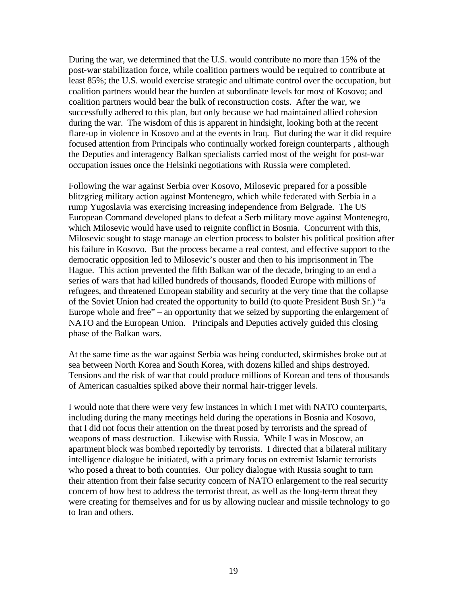During the war, we determined that the U.S. would contribute no more than 15% of the post-war stabilization force, while coalition partners would be required to contribute at least 85%; the U.S. would exercise strategic and ultimate control over the occupation, but coalition partners would bear the burden at subordinate levels for most of Kosovo; and coalition partners would bear the bulk of reconstruction costs. After the war, we successfully adhered to this plan, but only because we had maintained allied cohesion during the war. The wisdom of this is apparent in hindsight, looking both at the recent flare-up in violence in Kosovo and at the events in Iraq. But during the war it did require focused attention from Principals who continually worked foreign counterparts , although the Deputies and interagency Balkan specialists carried most of the weight for post-war occupation issues once the Helsinki negotiations with Russia were completed.

Following the war against Serbia over Kosovo, Milosevic prepared for a possible blitzgrieg military action against Montenegro, which while federated with Serbia in a rump Yugoslavia was exercising increasing independence from Belgrade. The US European Command developed plans to defeat a Serb military move against Montenegro, which Milosevic would have used to reignite conflict in Bosnia. Concurrent with this, Milosevic sought to stage manage an election process to bolster his political position after his failure in Kosovo. But the process became a real contest, and effective support to the democratic opposition led to Milosevic's ouster and then to his imprisonment in The Hague. This action prevented the fifth Balkan war of the decade, bringing to an end a series of wars that had killed hundreds of thousands, flooded Europe with millions of refugees, and threatened European stability and security at the very time that the collapse of the Soviet Union had created the opportunity to build (to quote President Bush Sr.) "a Europe whole and free" – an opportunity that we seized by supporting the enlargement of NATO and the European Union. Principals and Deputies actively guided this closing phase of the Balkan wars.

At the same time as the war against Serbia was being conducted, skirmishes broke out at sea between North Korea and South Korea, with dozens killed and ships destroyed. Tensions and the risk of war that could produce millions of Korean and tens of thousands of American casualties spiked above their normal hair-trigger levels.

I would note that there were very few instances in which I met with NATO counterparts, including during the many meetings held during the operations in Bosnia and Kosovo, that I did not focus their attention on the threat posed by terrorists and the spread of weapons of mass destruction. Likewise with Russia. While I was in Moscow, an apartment block was bombed reportedly by terrorists. I directed that a bilateral military intelligence dialogue be initiated, with a primary focus on extremist Islamic terrorists who posed a threat to both countries. Our policy dialogue with Russia sought to turn their attention from their false security concern of NATO enlargement to the real security concern of how best to address the terrorist threat, as well as the long-term threat they were creating for themselves and for us by allowing nuclear and missile technology to go to Iran and others.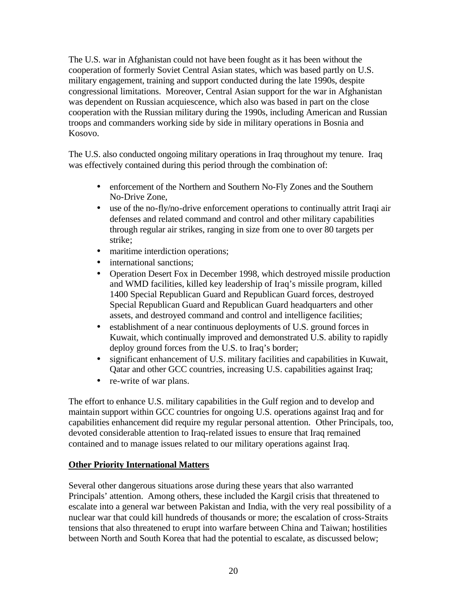The U.S. war in Afghanistan could not have been fought as it has been without the cooperation of formerly Soviet Central Asian states, which was based partly on U.S. military engagement, training and support conducted during the late 1990s, despite congressional limitations. Moreover, Central Asian support for the war in Afghanistan was dependent on Russian acquiescence, which also was based in part on the close cooperation with the Russian military during the 1990s, including American and Russian troops and commanders working side by side in military operations in Bosnia and Kosovo.

The U.S. also conducted ongoing military operations in Iraq throughout my tenure. Iraq was effectively contained during this period through the combination of:

- enforcement of the Northern and Southern No-Fly Zones and the Southern No-Drive Zone,
- use of the no-fly/no-drive enforcement operations to continually attrit Iraqi air defenses and related command and control and other military capabilities through regular air strikes, ranging in size from one to over 80 targets per strike;
- maritime interdiction operations;
- international sanctions;
- Operation Desert Fox in December 1998, which destroyed missile production and WMD facilities, killed key leadership of Iraq's missile program, killed 1400 Special Republican Guard and Republican Guard forces, destroyed Special Republican Guard and Republican Guard headquarters and other assets, and destroyed command and control and intelligence facilities;
- establishment of a near continuous deployments of U.S. ground forces in Kuwait, which continually improved and demonstrated U.S. ability to rapidly deploy ground forces from the U.S. to Iraq's border;
- significant enhancement of U.S. military facilities and capabilities in Kuwait, Qatar and other GCC countries, increasing U.S. capabilities against Iraq;
- re-write of war plans.

The effort to enhance U.S. military capabilities in the Gulf region and to develop and maintain support within GCC countries for ongoing U.S. operations against Iraq and for capabilities enhancement did require my regular personal attention. Other Principals, too, devoted considerable attention to Iraq-related issues to ensure that Iraq remained contained and to manage issues related to our military operations against Iraq.

## **Other Priority International Matters**

Several other dangerous situations arose during these years that also warranted Principals' attention. Among others, these included the Kargil crisis that threatened to escalate into a general war between Pakistan and India, with the very real possibility of a nuclear war that could kill hundreds of thousands or more; the escalation of cross-Straits tensions that also threatened to erupt into warfare between China and Taiwan; hostilities between North and South Korea that had the potential to escalate, as discussed below;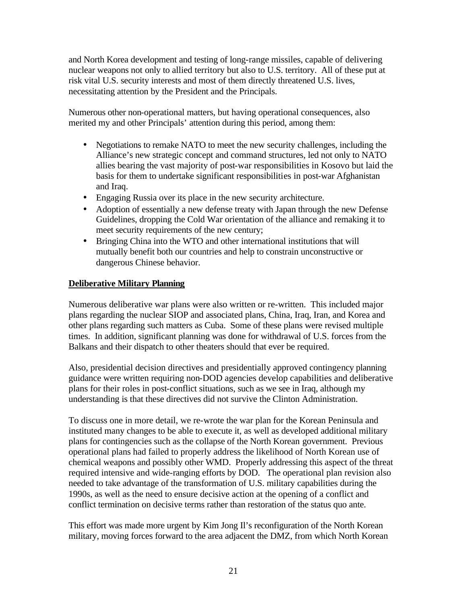and North Korea development and testing of long-range missiles, capable of delivering nuclear weapons not only to allied territory but also to U.S. territory. All of these put at risk vital U.S. security interests and most of them directly threatened U.S. lives, necessitating attention by the President and the Principals.

Numerous other non-operational matters, but having operational consequences, also merited my and other Principals' attention during this period, among them:

- Negotiations to remake NATO to meet the new security challenges, including the Alliance's new strategic concept and command structures, led not only to NATO allies bearing the vast majority of post-war responsibilities in Kosovo but laid the basis for them to undertake significant responsibilities in post-war Afghanistan and Iraq.
- Engaging Russia over its place in the new security architecture.
- Adoption of essentially a new defense treaty with Japan through the new Defense Guidelines, dropping the Cold War orientation of the alliance and remaking it to meet security requirements of the new century;
- Bringing China into the WTO and other international institutions that will mutually benefit both our countries and help to constrain unconstructive or dangerous Chinese behavior.

#### **Deliberative Military Planning**

Numerous deliberative war plans were also written or re-written. This included major plans regarding the nuclear SIOP and associated plans, China, Iraq, Iran, and Korea and other plans regarding such matters as Cuba. Some of these plans were revised multiple times. In addition, significant planning was done for withdrawal of U.S. forces from the Balkans and their dispatch to other theaters should that ever be required.

Also, presidential decision directives and presidentially approved contingency planning guidance were written requiring non-DOD agencies develop capabilities and deliberative plans for their roles in post-conflict situations, such as we see in Iraq, although my understanding is that these directives did not survive the Clinton Administration.

To discuss one in more detail, we re-wrote the war plan for the Korean Peninsula and instituted many changes to be able to execute it, as well as developed additional military plans for contingencies such as the collapse of the North Korean government. Previous operational plans had failed to properly address the likelihood of North Korean use of chemical weapons and possibly other WMD. Properly addressing this aspect of the threat required intensive and wide-ranging efforts by DOD. The operational plan revision also needed to take advantage of the transformation of U.S. military capabilities during the 1990s, as well as the need to ensure decisive action at the opening of a conflict and conflict termination on decisive terms rather than restoration of the status quo ante.

This effort was made more urgent by Kim Jong Il's reconfiguration of the North Korean military, moving forces forward to the area adjacent the DMZ, from which North Korean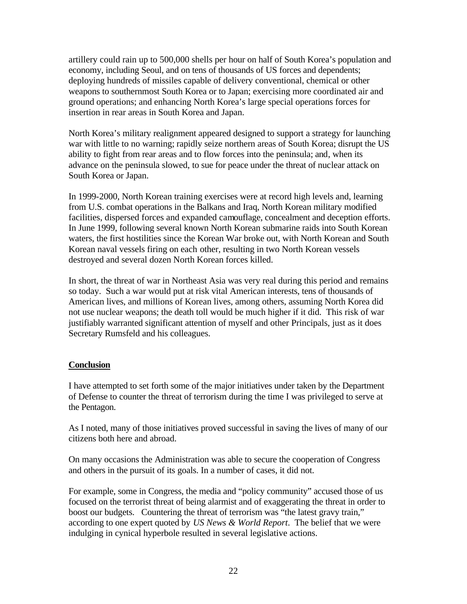artillery could rain up to 500,000 shells per hour on half of South Korea's population and economy, including Seoul, and on tens of thousands of US forces and dependents; deploying hundreds of missiles capable of delivery conventional, chemical or other weapons to southernmost South Korea or to Japan; exercising more coordinated air and ground operations; and enhancing North Korea's large special operations forces for insertion in rear areas in South Korea and Japan.

North Korea's military realignment appeared designed to support a strategy for launching war with little to no warning; rapidly seize northern areas of South Korea; disrupt the US ability to fight from rear areas and to flow forces into the peninsula; and, when its advance on the peninsula slowed, to sue for peace under the threat of nuclear attack on South Korea or Japan.

In 1999-2000, North Korean training exercises were at record high levels and, learning from U.S. combat operations in the Balkans and Iraq, North Korean military modified facilities, dispersed forces and expanded camouflage, concealment and deception efforts. In June 1999, following several known North Korean submarine raids into South Korean waters, the first hostilities since the Korean War broke out, with North Korean and South Korean naval vessels firing on each other, resulting in two North Korean vessels destroyed and several dozen North Korean forces killed.

In short, the threat of war in Northeast Asia was very real during this period and remains so today. Such a war would put at risk vital American interests, tens of thousands of American lives, and millions of Korean lives, among others, assuming North Korea did not use nuclear weapons; the death toll would be much higher if it did. This risk of war justifiably warranted significant attention of myself and other Principals, just as it does Secretary Rumsfeld and his colleagues.

## **Conclusion**

I have attempted to set forth some of the major initiatives under taken by the Department of Defense to counter the threat of terrorism during the time I was privileged to serve at the Pentagon.

As I noted, many of those initiatives proved successful in saving the lives of many of our citizens both here and abroad.

On many occasions the Administration was able to secure the cooperation of Congress and others in the pursuit of its goals. In a number of cases, it did not.

For example, some in Congress, the media and "policy community" accused those of us focused on the terrorist threat of being alarmist and of exaggerating the threat in order to boost our budgets. Countering the threat of terrorism was "the latest gravy train," according to one expert quoted by *US News & World Report*. The belief that we were indulging in cynical hyperbole resulted in several legislative actions.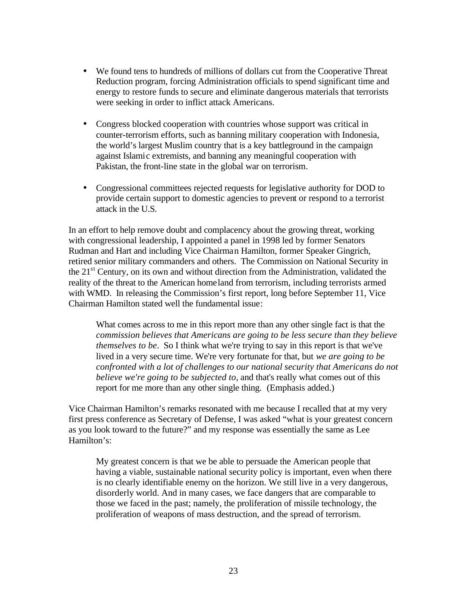- We found tens to hundreds of millions of dollars cut from the Cooperative Threat Reduction program, forcing Administration officials to spend significant time and energy to restore funds to secure and eliminate dangerous materials that terrorists were seeking in order to inflict attack Americans.
- Congress blocked cooperation with countries whose support was critical in counter-terrorism efforts, such as banning military cooperation with Indonesia, the world's largest Muslim country that is a key battleground in the campaign against Islamic extremists, and banning any meaningful cooperation with Pakistan, the front-line state in the global war on terrorism.
- Congressional committees rejected requests for legislative authority for DOD to provide certain support to domestic agencies to prevent or respond to a terrorist attack in the U.S.

In an effort to help remove doubt and complacency about the growing threat, working with congressional leadership, I appointed a panel in 1998 led by former Senators Rudman and Hart and including Vice Chairman Hamilton, former Speaker Gingrich, retired senior military commanders and others. The Commission on National Security in the  $21<sup>st</sup>$  Century, on its own and without direction from the Administration, validated the reality of the threat to the American homeland from terrorism, including terrorists armed with WMD. In releasing the Commission's first report, long before September 11, Vice Chairman Hamilton stated well the fundamental issue:

What comes across to me in this report more than any other single fact is that the *commission believes that Americans are going to be less secure than they believe themselves to be*. So I think what we're trying to say in this report is that we've lived in a very secure time. We're very fortunate for that, but *we are going to be confronted with a lot of challenges to our national security that Americans do not believe we're going to be subjected to*, and that's really what comes out of this report for me more than any other single thing. (Emphasis added.)

Vice Chairman Hamilton's remarks resonated with me because I recalled that at my very first press conference as Secretary of Defense, I was asked "what is your greatest concern as you look toward to the future?" and my response was essentially the same as Lee Hamilton's:

My greatest concern is that we be able to persuade the American people that having a viable, sustainable national security policy is important, even when there is no clearly identifiable enemy on the horizon. We still live in a very dangerous, disorderly world. And in many cases, we face dangers that are comparable to those we faced in the past; namely, the proliferation of missile technology, the proliferation of weapons of mass destruction, and the spread of terrorism.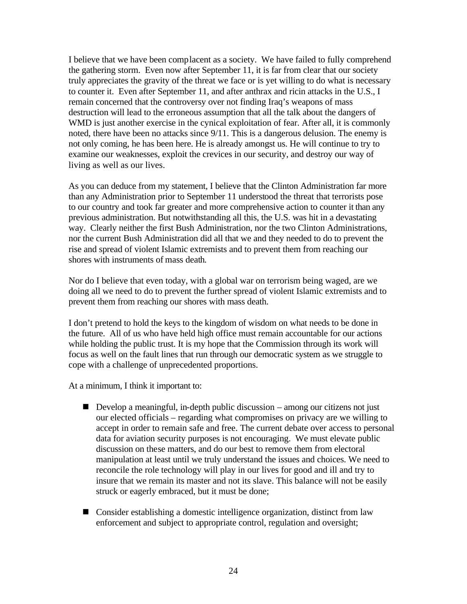I believe that we have been complacent as a society. We have failed to fully comprehend the gathering storm. Even now after September 11, it is far from clear that our society truly appreciates the gravity of the threat we face or is yet willing to do what is necessary to counter it. Even after September 11, and after anthrax and ricin attacks in the U.S., I remain concerned that the controversy over not finding Iraq's weapons of mass destruction will lead to the erroneous assumption that all the talk about the dangers of WMD is just another exercise in the cynical exploitation of fear. After all, it is commonly noted, there have been no attacks since 9/11. This is a dangerous delusion. The enemy is not only coming, he has been here. He is already amongst us. He will continue to try to examine our weaknesses, exploit the crevices in our security, and destroy our way of living as well as our lives.

As you can deduce from my statement, I believe that the Clinton Administration far more than any Administration prior to September 11 understood the threat that terrorists pose to our country and took far greater and more comprehensive action to counter it than any previous administration. But notwithstanding all this, the U.S. was hit in a devastating way. Clearly neither the first Bush Administration, nor the two Clinton Administrations, nor the current Bush Administration did all that we and they needed to do to prevent the rise and spread of violent Islamic extremists and to prevent them from reaching our shores with instruments of mass death.

Nor do I believe that even today, with a global war on terrorism being waged, are we doing all we need to do to prevent the further spread of violent Islamic extremists and to prevent them from reaching our shores with mass death.

I don't pretend to hold the keys to the kingdom of wisdom on what needs to be done in the future. All of us who have held high office must remain accountable for our actions while holding the public trust. It is my hope that the Commission through its work will focus as well on the fault lines that run through our democratic system as we struggle to cope with a challenge of unprecedented proportions.

At a minimum, I think it important to:

- $\blacksquare$  Develop a meaningful, in-depth public discussion among our citizens not just our elected officials – regarding what compromises on privacy are we willing to accept in order to remain safe and free. The current debate over access to personal data for aviation security purposes is not encouraging. We must elevate public discussion on these matters, and do our best to remove them from electoral manipulation at least until we truly understand the issues and choices. We need to reconcile the role technology will play in our lives for good and ill and try to insure that we remain its master and not its slave. This balance will not be easily struck or eagerly embraced, but it must be done;
- Consider establishing a domestic intelligence organization, distinct from law enforcement and subject to appropriate control, regulation and oversight;